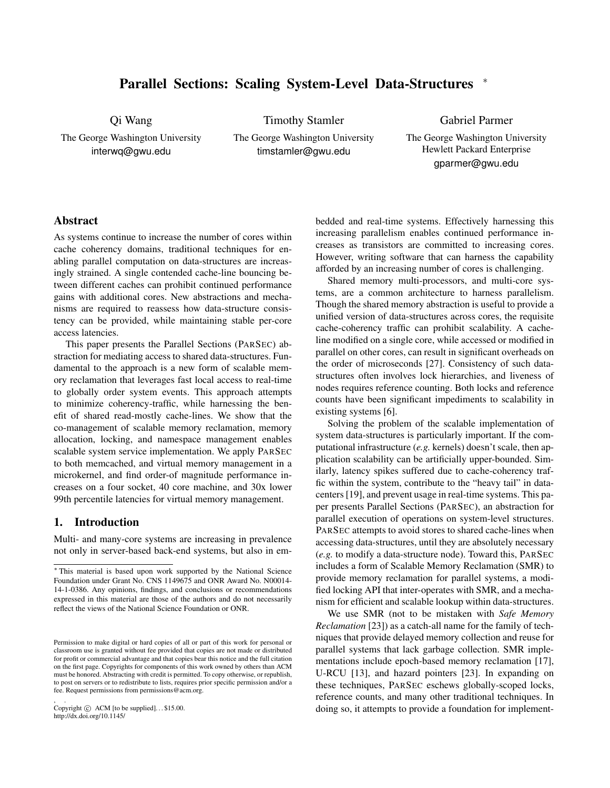# <span id="page-0-0"></span>Parallel Sections: Scaling System-Level Data-Structures <sup>∗</sup>

Qi Wang

The George Washington University interwq@gwu.edu

The George Washington University timstamler@gwu.edu

Timothy Stamler

Gabriel Parmer

The George Washington University Hewlett Packard Enterprise gparmer@gwu.edu

# Abstract

As systems continue to increase the number of cores within cache coherency domains, traditional techniques for enabling parallel computation on data-structures are increasingly strained. A single contended cache-line bouncing between different caches can prohibit continued performance gains with additional cores. New abstractions and mechanisms are required to reassess how data-structure consistency can be provided, while maintaining stable per-core access latencies.

This paper presents the Parallel Sections (PARSEC) abstraction for mediating access to shared data-structures. Fundamental to the approach is a new form of scalable memory reclamation that leverages fast local access to real-time to globally order system events. This approach attempts to minimize coherency-traffic, while harnessing the benefit of shared read-mostly cache-lines. We show that the co-management of scalable memory reclamation, memory allocation, locking, and namespace management enables scalable system service implementation. We apply PARSEC to both memcached, and virtual memory management in a microkernel, and find order-of magnitude performance increases on a four socket, 40 core machine, and 30x lower 99th percentile latencies for virtual memory management.

## 1. Introduction

Multi- and many-core systems are increasing in prevalence not only in server-based back-end systems, but also in embedded and real-time systems. Effectively harnessing this increasing parallelism enables continued performance increases as transistors are committed to increasing cores. However, writing software that can harness the capability afforded by an increasing number of cores is challenging.

Shared memory multi-processors, and multi-core systems, are a common architecture to harness parallelism. Though the shared memory abstraction is useful to provide a unified version of data-structures across cores, the requisite cache-coherency traffic can prohibit scalability. A cacheline modified on a single core, while accessed or modified in parallel on other cores, can result in significant overheads on the order of microseconds [\[27\]](#page-14-0). Consistency of such datastructures often involves lock hierarchies, and liveness of nodes requires reference counting. Both locks and reference counts have been significant impediments to scalability in existing systems [\[6\]](#page-14-1).

Solving the problem of the scalable implementation of system data-structures is particularly important. If the computational infrastructure (*e.g.* kernels) doesn't scale, then application scalability can be artificially upper-bounded. Similarly, latency spikes suffered due to cache-coherency traffic within the system, contribute to the "heavy tail" in datacenters [\[19\]](#page-14-2), and prevent usage in real-time systems. This paper presents Parallel Sections (PARSEC), an abstraction for parallel execution of operations on system-level structures. PARSEC attempts to avoid stores to shared cache-lines when accessing data-structures, until they are absolutely necessary (*e.g.* to modify a data-structure node). Toward this, PARSEC includes a form of Scalable Memory Reclamation (SMR) to provide memory reclamation for parallel systems, a modified locking API that inter-operates with SMR, and a mechanism for efficient and scalable lookup within data-structures.

We use SMR (not to be mistaken with *Safe Memory Reclamation* [\[23\]](#page-14-3)) as a catch-all name for the family of techniques that provide delayed memory collection and reuse for parallel systems that lack garbage collection. SMR implementations include epoch-based memory reclamation [\[17\]](#page-14-4), U-RCU [\[13\]](#page-14-5), and hazard pointers [\[23\]](#page-14-3). In expanding on these techniques, PARSEC eschews globally-scoped locks, reference counts, and many other traditional techniques. In doing so, it attempts to provide a foundation for implement-

<sup>∗</sup> This material is based upon work supported by the National Science Foundation under Grant No. CNS 1149675 and ONR Award No. N00014- 14-1-0386. Any opinions, findings, and conclusions or recommendations expressed in this material are those of the authors and do not necessarily reflect the views of the National Science Foundation or ONR.

Permission to make digital or hard copies of all or part of this work for personal or classroom use is granted without fee provided that copies are not made or distributed for profit or commercial advantage and that copies bear this notice and the full citation on the first page. Copyrights for components of this work owned by others than ACM must be honored. Abstracting with credit is permitted. To copy otherwise, or republish, to post on servers or to redistribute to lists, requires prior specific permission and/or a fee. Request permissions from permissions@acm.org.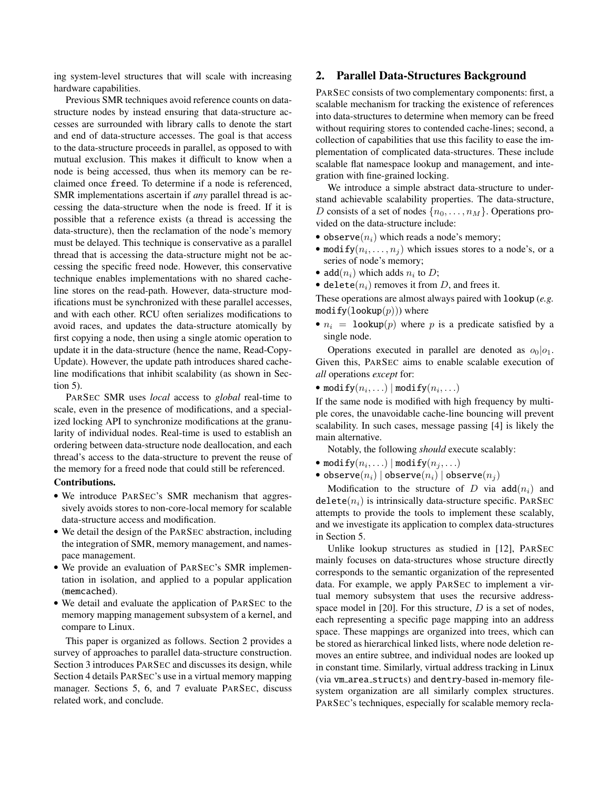ing system-level structures that will scale with increasing hardware capabilities.

Previous SMR techniques avoid reference counts on datastructure nodes by instead ensuring that data-structure accesses are surrounded with library calls to denote the start and end of data-structure accesses. The goal is that access to the data-structure proceeds in parallel, as opposed to with mutual exclusion. This makes it difficult to know when a node is being accessed, thus when its memory can be reclaimed once freed. To determine if a node is referenced, SMR implementations ascertain if *any* parallel thread is accessing the data-structure when the node is freed. If it is possible that a reference exists (a thread is accessing the data-structure), then the reclamation of the node's memory must be delayed. This technique is conservative as a parallel thread that is accessing the data-structure might not be accessing the specific freed node. However, this conservative technique enables implementations with no shared cacheline stores on the read-path. However, data-structure modifications must be synchronized with these parallel accesses, and with each other. RCU often serializes modifications to avoid races, and updates the data-structure atomically by first copying a node, then using a single atomic operation to update it in the data-structure (hence the name, Read-Copy-Update). However, the update path introduces shared cacheline modifications that inhibit scalability (as shown in Section [5\)](#page-8-0).

PARSEC SMR uses *local* access to *global* real-time to scale, even in the presence of modifications, and a specialized locking API to synchronize modifications at the granularity of individual nodes. Real-time is used to establish an ordering between data-structure node deallocation, and each thread's access to the data-structure to prevent the reuse of the memory for a freed node that could still be referenced.

## Contributions.

- We introduce PARSEC's SMR mechanism that aggressively avoids stores to non-core-local memory for scalable data-structure access and modification.
- We detail the design of the PARSEC abstraction, including the integration of SMR, memory management, and namespace management.
- We provide an evaluation of PARSEC's SMR implementation in isolation, and applied to a popular application (memcached).
- We detail and evaluate the application of PARSEC to the memory mapping management subsystem of a kernel, and compare to Linux.

This paper is organized as follows. Section [2](#page-1-0) provides a survey of approaches to parallel data-structure construction. Section [3](#page-3-0) introduces PARSEC and discusses its design, while Section [4](#page-8-1) details PARSEC's use in a virtual memory mapping manager. Sections [5,](#page-8-0) [6,](#page-13-0) and [7](#page-13-1) evaluate PARSEC, discuss related work, and conclude.

# <span id="page-1-0"></span>2. Parallel Data-Structures Background

PARSEC consists of two complementary components: first, a scalable mechanism for tracking the existence of references into data-structures to determine when memory can be freed without requiring stores to contended cache-lines; second, a collection of capabilities that use this facility to ease the implementation of complicated data-structures. These include scalable flat namespace lookup and management, and integration with fine-grained locking.

We introduce a simple abstract data-structure to understand achievable scalability properties. The data-structure, D consists of a set of nodes  $\{n_0, \ldots, n_M\}$ . Operations provided on the data-structure include:

- observe $(n_i)$  which reads a node's memory;
- modify $(n_i, \ldots, n_j)$  which issues stores to a node's, or a series of node's memory;
- add $(n_i)$  which adds  $n_i$  to  $D$ ;
- delete( $n_i$ ) removes it from D, and frees it.

These operations are almost always paired with lookup (*e.g.*  $\text{modify}(\text{lookup}(p)))$  where

•  $n_i$  = lookup(p) where p is a predicate satisfied by a single node.

Operations executed in parallel are denoted as  $o_0|o_1$ . Given this, PARSEC aims to enable scalable execution of *all* operations *except* for:

• modify $(n_i, \ldots)$  | modify $(n_i, \ldots)$ 

If the same node is modified with high frequency by multiple cores, the unavoidable cache-line bouncing will prevent scalability. In such cases, message passing [\[4\]](#page-14-6) is likely the main alternative.

Notably, the following *should* execute scalably:

- $\bullet$  modify $(n_i, \ldots) \mid \text{\texttt{modify}}(n_j, \ldots)$
- observe $(n_i)$  | observe $(n_i)$  | observe $(n_j)$

Modification to the structure of D via  $add(n_i)$  and  $\text{delete}(n_i)$  is intrinsically data-structure specific. PARSEC attempts to provide the tools to implement these scalably, and we investigate its application to complex data-structures in Section [5.](#page-8-0)

Unlike lookup structures as studied in [\[12\]](#page-14-7), PARSEC mainly focuses on data-structures whose structure directly corresponds to the semantic organization of the represented data. For example, we apply PARSEC to implement a virtual memory subsystem that uses the recursive addressspace model in  $[20]$ . For this structure,  $D$  is a set of nodes, each representing a specific page mapping into an address space. These mappings are organized into trees, which can be stored as hierarchical linked lists, where node deletion removes an entire subtree, and individual nodes are looked up in constant time. Similarly, virtual address tracking in Linux (via vm area structs) and dentry-based in-memory filesystem organization are all similarly complex structures. PARSEC's techniques, especially for scalable memory recla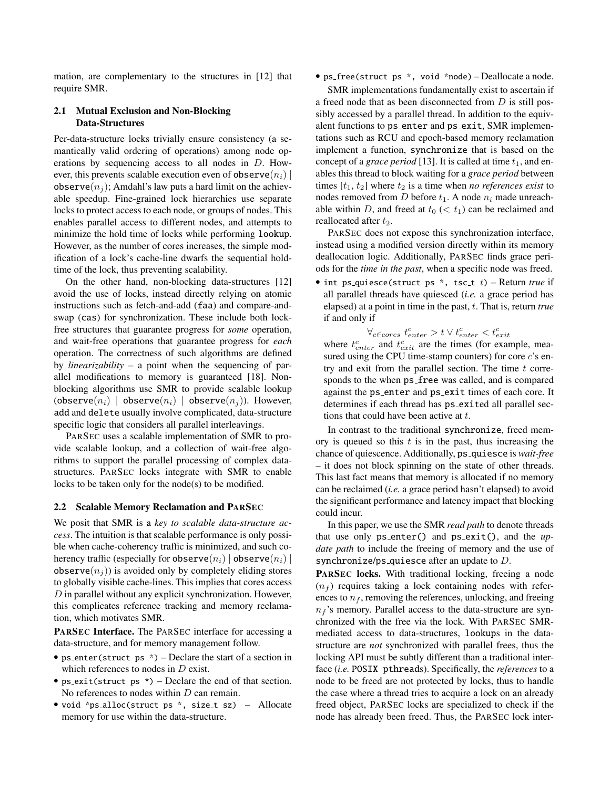mation, are complementary to the structures in [\[12\]](#page-14-7) that require SMR.

# 2.1 Mutual Exclusion and Non-Blocking Data-Structures

Per-data-structure locks trivially ensure consistency (a semantically valid ordering of operations) among node operations by sequencing access to all nodes in D. However, this prevents scalable execution even of observe $(n_i)$ observe $(n_i)$ ; Amdahl's law puts a hard limit on the achievable speedup. Fine-grained lock hierarchies use separate locks to protect access to each node, or groups of nodes. This enables parallel access to different nodes, and attempts to minimize the hold time of locks while performing lookup. However, as the number of cores increases, the simple modification of a lock's cache-line dwarfs the sequential holdtime of the lock, thus preventing scalability.

On the other hand, non-blocking data-structures [\[12\]](#page-14-7) avoid the use of locks, instead directly relying on atomic instructions such as fetch-and-add (faa) and compare-andswap (cas) for synchronization. These include both lockfree structures that guarantee progress for *some* operation, and wait-free operations that guarantee progress for *each* operation. The correctness of such algorithms are defined by *linearizability* – a point when the sequencing of parallel modifications to memory is guaranteed [\[18\]](#page-14-9). Nonblocking algorithms use SMR to provide scalable lookup (observe $(n_i)$  | observe $(n_i)$  | observe $(n_j)$ ). However, add and delete usually involve complicated, data-structure specific logic that considers all parallel interleavings.

PARSEC uses a scalable implementation of SMR to provide scalable lookup, and a collection of wait-free algorithms to support the parallel processing of complex datastructures. PARSEC locks integrate with SMR to enable locks to be taken only for the node(s) to be modified.

## <span id="page-2-0"></span>2.2 Scalable Memory Reclamation and PARSEC

We posit that SMR is a *key to scalable data-structure access*. The intuition is that scalable performance is only possible when cache-coherency traffic is minimized, and such coherency traffic (especially for observe $(n_i)$ ) | observe $(n_i)$  | observe $(n_i)$ ) is avoided only by completely eliding stores to globally visible cache-lines. This implies that cores access D in parallel without any explicit synchronization. However, this complicates reference tracking and memory reclamation, which motivates SMR.

PARSEC Interface. The PARSEC interface for accessing a data-structure, and for memory management follow.

- ps enter(struct ps \*) Declare the start of a section in which references to nodes in *D* exist.
- ps exit(struct ps  $*)$  Declare the end of that section. No references to nodes within  $D$  can remain.
- void \*ps\_alloc(struct ps \*, size\_t sz) Allocate memory for use within the data-structure.

• ps free(struct ps \*, void \*node) – Deallocate a node.

SMR implementations fundamentally exist to ascertain if a freed node that as been disconnected from D is still possibly accessed by a parallel thread. In addition to the equivalent functions to ps\_enter and ps\_exit, SMR implementations such as RCU and epoch-based memory reclamation implement a function, synchronize that is based on the concept of a *grace period* [\[13\]](#page-14-5). It is called at time  $t_1$ , and enables this thread to block waiting for a *grace period* between times  $[t_1, t_2]$  where  $t_2$  is a time when *no references exist* to nodes removed from  $D$  before  $t_1$ . A node  $n_i$  made unreachable within D, and freed at  $t_0 \, (< t_1)$  can be reclaimed and reallocated after  $t_2$ .

PARSEC does not expose this synchronization interface, instead using a modified version directly within its memory deallocation logic. Additionally, PARSEC finds grace periods for the *time in the past*, when a specific node was freed.

• int ps<sub>-quiesce(struct ps \*, tsc<sub>-t</sub> t) – Return *true* if</sub> all parallel threads have quiesced (*i.e.* a grace period has elapsed) at a point in time in the past, t. That is, return *true* if and only if

$$
\forall_{c \in cores} t_{enter}^{c} > t \lor t_{enter}^{c} < t_{exit}^{c}
$$

where  $t_{enter}^c$  and  $t_{exit}^c$  are the times (for example, measured using the CPU time-stamp counters) for core  $c$ 's entry and exit from the parallel section. The time  $t$  corresponds to the when  $ps$  free was called, and is compared against the ps enter and ps exit times of each core. It determines if each thread has ps\_exited all parallel sections that could have been active at t.

In contrast to the traditional synchronize, freed memory is queued so this  $t$  is in the past, thus increasing the chance of quiescence. Additionally, ps quiesce is *wait-free* – it does not block spinning on the state of other threads. This last fact means that memory is allocated if no memory can be reclaimed (*i.e.* a grace period hasn't elapsed) to avoid the significant performance and latency impact that blocking could incur.

In this paper, we use the SMR *read path* to denote threads that use only ps enter() and ps exit(), and the *update path* to include the freeing of memory and the use of synchronize/ps\_quiesce after an update to  $D$ .

PARSEC locks. With traditional locking, freeing a node  $(n_f)$  requires taking a lock containing nodes with references to  $n_f$ , removing the references, unlocking, and freeing  $n_f$ 's memory. Parallel access to the data-structure are synchronized with the free via the lock. With PARSEC SMRmediated access to data-structures, lookups in the datastructure are *not* synchronized with parallel frees, thus the locking API must be subtly different than a traditional interface (*i.e.* POSIX pthreads). Specifically, the *references* to a node to be freed are not protected by locks, thus to handle the case where a thread tries to acquire a lock on an already freed object, PARSEC locks are specialized to check if the node has already been freed. Thus, the PARSEC lock inter-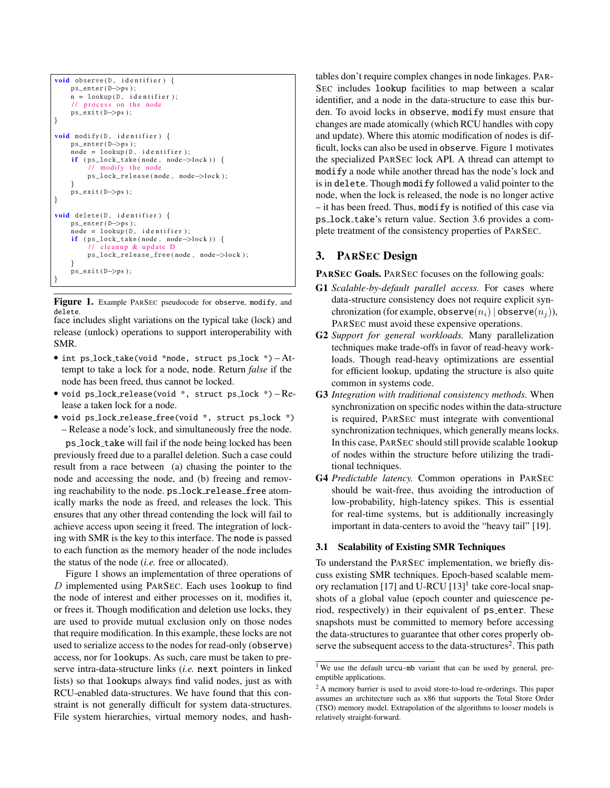```
void observe (D, identifier) {
    ps_enter (D->ps);
    n = lookup(D, identifier);
     \frac{1}{\sqrt{2}} process on the node
    ps_exit(D->ps);
}
void \text{ modify}(D, identifier)ps_enter (D->ps);
    node = lookup(D, identifier);if (ps\_lock\_take (node, node-)lock ) {
         \frac{1}{\sqrt{2}} modify the node
         ps_lock_release(node, node->lock);
     }
    ps\_exit(D \rightarrow ps);}
void delete (D, identifier) {
    ps_enter (D->ps);
    node = lookup(D, identifier);if (ps\_lock\_take (node, node\_block)) {
             cleanup & update D
         ps_lock_release_free ( node , node->lock ) ;
     }
    ps\_exit(D \rightarrow ps);}
```
<span id="page-3-1"></span>Figure 1. Example PARSEC pseudocode for observe, modify, and delete. face includes slight variations on the typical take (lock) and

release (unlock) operations to support interoperability with SMR.

- int ps lock take(void \*node, struct ps lock \*) Attempt to take a lock for a node, node. Return *false* if the node has been freed, thus cannot be locked.
- void ps lock release(void \*, struct ps lock \*) Release a taken lock for a node.
- void ps lock release free(void \*, struct ps lock \*) – Release a node's lock, and simultaneously free the node.

ps lock take will fail if the node being locked has been previously freed due to a parallel deletion. Such a case could result from a race between (a) chasing the pointer to the node and accessing the node, and (b) freeing and removing reachability to the node. ps\_lock\_release\_free atomically marks the node as freed, and releases the lock. This ensures that any other thread contending the lock will fail to achieve access upon seeing it freed. The integration of locking with SMR is the key to this interface. The node is passed to each function as the memory header of the node includes the status of the node (*i.e.* free or allocated).

Figure [1](#page-3-1) shows an implementation of three operations of  $D$  implemented using PARSEC. Each uses lookup to find the node of interest and either processes on it, modifies it, or frees it. Though modification and deletion use locks, they are used to provide mutual exclusion only on those nodes that require modification. In this example, these locks are not used to serialize access to the nodes for read-only (observe) access, nor for lookups. As such, care must be taken to preserve intra-data-structure links (*i.e.* next pointers in linked lists) so that lookups always find valid nodes, just as with RCU-enabled data-structures. We have found that this constraint is not generally difficult for system data-structures. File system hierarchies, virtual memory nodes, and hashtables don't require complex changes in node linkages. PAR-SEC includes lookup facilities to map between a scalar identifier, and a node in the data-structure to ease this burden. To avoid locks in observe, modify must ensure that changes are made atomically (which RCU handles with copy and update). Where this atomic modification of nodes is difficult, locks can also be used in observe. Figure [1](#page-3-1) motivates the specialized PARSEC lock API. A thread can attempt to modify a node while another thread has the node's lock and is in delete. Though modify followed a valid pointer to the node, when the lock is released, the node is no longer active – it has been freed. Thus, modify is notified of this case via ps lock take's return value. Section [3.6](#page-7-0) provides a complete treatment of the consistency properties of PARSEC.

# <span id="page-3-0"></span>3. PARSEC Design

PARSEC Goals. PARSEC focuses on the following goals:

- G1 *Scalable-by-default parallel access.* For cases where data-structure consistency does not require explicit synchronization (for example, observe $(n_i)$ ) observe $(n_j)$ ), PARSEC must avoid these expensive operations.
- G2 *Support for general workloads.* Many parallelization techniques make trade-offs in favor of read-heavy workloads. Though read-heavy optimizations are essential for efficient lookup, updating the structure is also quite common in systems code.
- G3 *Integration with traditional consistency methods.* When synchronization on specific nodes within the data-structure is required, PARSEC must integrate with conventional synchronization techniques, which generally means locks. In this case, PARSEC should still provide scalable lookup of nodes within the structure before utilizing the traditional techniques.
- G4 *Predictable latency.* Common operations in PARSEC should be wait-free, thus avoiding the introduction of low-probability, high-latency spikes. This is essential for real-time systems, but is additionally increasingly important in data-centers to avoid the "heavy tail" [\[19\]](#page-14-2).

## 3.1 Scalability of Existing SMR Techniques

To understand the PARSEC implementation, we briefly discuss existing SMR techniques. Epoch-based scalable mem-ory reclamation [\[17\]](#page-14-4) and U-RCU [\[13\]](#page-14-5)<sup>[1](#page-3-2)</sup> take core-local snapshots of a global value (epoch counter and quiescence period, respectively) in their equivalent of ps\_enter. These snapshots must be committed to memory before accessing the data-structures to guarantee that other cores properly ob-serve the subsequent access to the data-structures<sup>[2](#page-3-3)</sup>. This path

<span id="page-3-2"></span><sup>&</sup>lt;sup>1</sup>We use the default urcu-mb variant that can be used by general, preemptible applications.

<span id="page-3-3"></span><sup>2</sup> A memory barrier is used to avoid store-to-load re-orderings. This paper assumes an architecture such as x86 that supports the Total Store Order (TSO) memory model. Extrapolation of the algorithms to looser models is relatively straight-forward.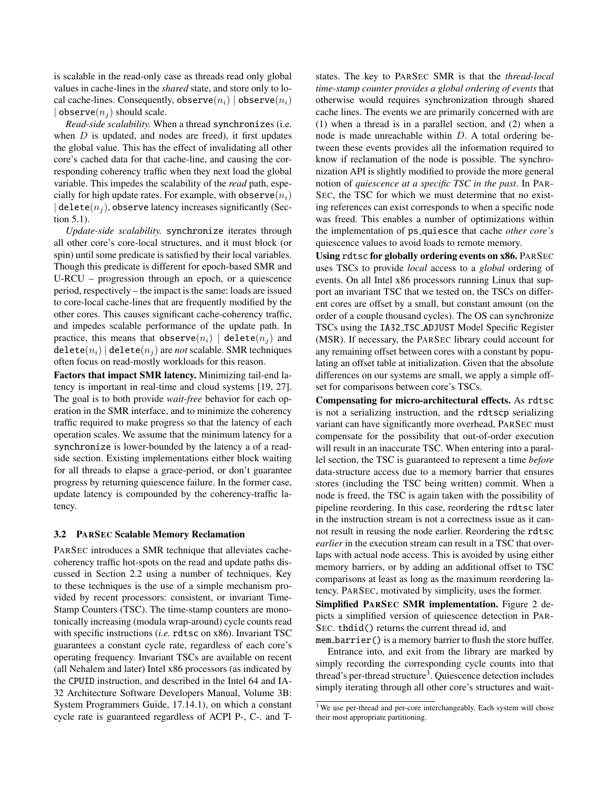is scalable in the read-only case as threads read only global values in cache-lines in the *shared* state, and store only to local cache-lines. Consequently, observe $(n_i)$  | observe $(n_i)$ | observe $(n_i)$  should scale.

*Read-side scalability.* When a thread synchronizes (i.e. when  $D$  is updated, and nodes are freed), it first updates the global value. This has the effect of invalidating all other core's cached data for that cache-line, and causing the corresponding coherency traffic when they next load the global variable. This impedes the scalability of the *read* path, especially for high update rates. For example, with observe $(n_i)$  $\vert$  delete $(n_i)$ , observe latency increases significantly (Section [5.1\)](#page-8-2).

*Update-side scalability.* synchronize iterates through all other core's core-local structures, and it must block (or spin) until some predicate is satisfied by their local variables. Though this predicate is different for epoch-based SMR and U-RCU – progression through an epoch, or a quiescence period, respectively – the impact is the same: loads are issued to core-local cache-lines that are frequently modified by the other cores. This causes significant cache-coherency traffic, and impedes scalable performance of the update path. In practice, this means that observe $(n_i)$  | delete $(n_i)$  and  $\text{delete}(n_i) | \text{delete}(n_j)$  are *not* scalable. SMR techniques often focus on read-mostly workloads for this reason.

Factors that impact SMR latency. Minimizing tail-end latency is important in real-time and cloud systems [\[19,](#page-14-2) [27\]](#page-14-0). The goal is to both provide *wait-free* behavior for each operation in the SMR interface, and to minimize the coherency traffic required to make progress so that the latency of each operation scales. We assume that the minimum latency for a synchronize is lower-bounded by the latency a of a readside section. Existing implementations either block waiting for all threads to elapse a grace-period, or don't guarantee progress by returning quiescence failure. In the former case, update latency is compounded by the coherency-traffic latency.

#### 3.2 PARSEC Scalable Memory Reclamation

PARSEC introduces a SMR technique that alleviates cachecoherency traffic hot-spots on the read and update paths discussed in Section [2.2](#page-2-0) using a number of techniques. Key to these techniques is the use of a simple mechanism provided by recent processors: consistent, or invariant Time-Stamp Counters (TSC). The time-stamp counters are monotonically increasing (modula wrap-around) cycle counts read with specific instructions (*i.e.* rdtsc on x86). Invariant TSC guarantees a constant cycle rate, regardless of each core's operating frequency. Invariant TSCs are available on recent (all Nehalem and later) Intel x86 processors (as indicated by the CPUID instruction, and described in the Intel 64 and IA-32 Architecture Software Developers Manual, Volume 3B: System Programmers Guide, 17.14.1), on which a constant cycle rate is guaranteed regardless of ACPI P-, C-. and T-

states. The key to PARSEC SMR is that the *thread-local time-stamp counter provides a global ordering of events* that otherwise would requires synchronization through shared cache lines. The events we are primarily concerned with are (1) when a thread is in a parallel section, and (2) when a node is made unreachable within D. A total ordering between these events provides all the information required to know if reclamation of the node is possible. The synchronization API is slightly modified to provide the more general notion of *quiescence at a specific TSC in the past*. In PAR-SEC, the TSC for which we must determine that no existing references can exist corresponds to when a specific node was freed. This enables a number of optimizations within the implementation of ps quiesce that cache *other core's* quiescence values to avoid loads to remote memory.

Using rdtsc for globally ordering events on x86. PARSEC uses TSCs to provide *local* access to a *global* ordering of events. On all Intel x86 processors running Linux that support an invariant TSC that we tested on, the TSCs on different cores are offset by a small, but constant amount (on the order of a couple thousand cycles). The OS can synchronize TSCs using the IA32 TSC ADJUST Model Specific Register (MSR). If necessary, the PARSEC library could account for any remaining offset between cores with a constant by populating an offset table at initialization. Given that the absolute differences on our systems are small, we apply a simple offset for comparisons between core's TSCs.

Compensating for micro-architectural effects. As rdtsc is not a serializing instruction, and the rdtscp serializing variant can have significantly more overhead, PARSEC must compensate for the possibility that out-of-order execution will result in an inaccurate TSC. When entering into a parallel section, the TSC is guaranteed to represent a time *before* data-structure access due to a memory barrier that ensures stores (including the TSC being written) commit. When a node is freed, the TSC is again taken with the possibility of pipeline reordering. In this case, reordering the rdtsc later in the instruction stream is not a correctness issue as it cannot result in reusing the node earlier. Reordering the rdtsc *earlier* in the execution stream can result in a TSC that overlaps with actual node access. This is avoided by using either memory barriers, or by adding an additional offset to TSC comparisons at least as long as the maximum reordering latency. PARSEC, motivated by simplicity, uses the former.

Simplified PARSEC SMR implementation. Figure [2](#page-5-0) depicts a simplified version of quiescence detection in PAR-SEC. thdid() returns the current thread id, and

mem\_barrier() is a memory barrier to flush the store buffer. Entrance into, and exit from the library are marked by simply recording the corresponding cycle counts into that thread's per-thread structure<sup>[3](#page-4-0)</sup>. Quiescence detection includes simply iterating through all other core's structures and wait-

<span id="page-4-0"></span> $3$  We use per-thread and per-core interchangeably. Each system will chose their most appropriate partitioning.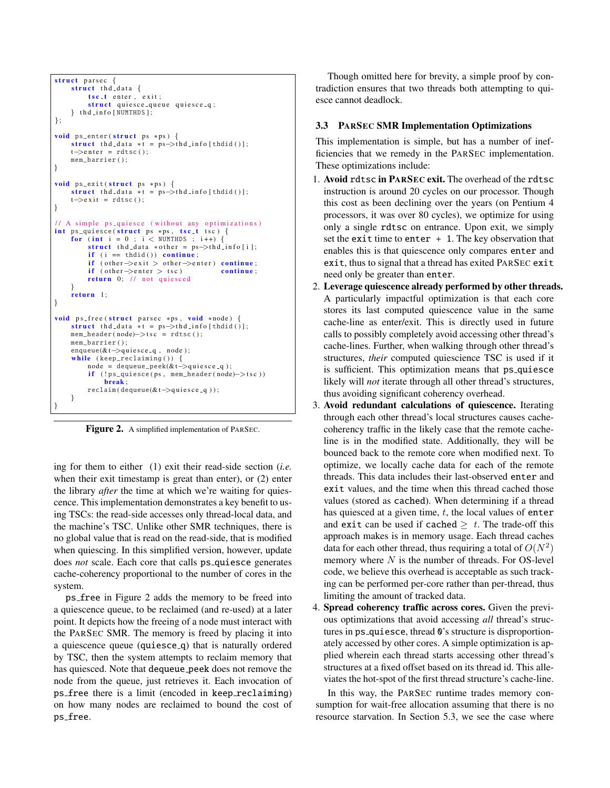```
struct parsec {
     struct thd_data {
         t sc<sub>-t</sub> enter, exit;
         struct quiesce_queue quiesce_q;
     \} thd_info [NUMTHDS];
};
void ps_enter (struct ps *ps) {
     struct thd_data *t = ps->thd_info [thdid ()];
     t \rightarrowenter = rdtsc();
    mem_barrier ( ) ;
}
void ps\_exit (struct ps *ps) {
    struct thd_data *t = ps\rightarrowthd_info [thdid()];
    t \rightarrowe x i t = rdtsc();
}
// A simple ps_quiesce (without any optimizations)
int ps_quiesce(struct ps *ps, tsc_t tsc) {
    for (int i = 0; i < NUMTHDS; i +) {
         struct thd_data *other = ps >thd_info [i];
         if (i == thdid()) continue;
         if ( other \Rightarrowexit > other \Rightarrowenter ) continue;
         if (\text{other} \rightarrow \text{enter} > \text{tsc}) continue;
         return 0; // not quiesced
     }
     return 1:
}
void ps_free (struct parsec *ps, void *node) {
     struct thd_data *t = ps \rightarrow thd_info[thdid()];mem_header (node)->tsc = rdtsc ();
    mem barrier () ;
    enaueue(&t->quiesce_q, node);
     while (keep\_reclaining()) {
         node = dequeue\_peek(&t->quiesce_q);if (!ps_quiesce(ps, mem\_header(node) -> tsc ))
              break ;
         reclaim ( dequeue(&t->quiesce_q ) );
    }
}
```
<span id="page-5-0"></span>Figure 2. A simplified implementation of PARSEC.

ing for them to either (1) exit their read-side section (*i.e.* when their exit timestamp is great than enter), or (2) enter the library *after* the time at which we're waiting for quiescence. This implementation demonstrates a key benefit to using TSCs: the read-side accesses only thread-local data, and the machine's TSC. Unlike other SMR techniques, there is no global value that is read on the read-side, that is modified when quiescing. In this simplified version, however, update does *not* scale. Each core that calls ps quiesce generates cache-coherency proportional to the number of cores in the system.

ps free in Figure [2](#page-5-0) adds the memory to be freed into a quiescence queue, to be reclaimed (and re-used) at a later point. It depicts how the freeing of a node must interact with the PARSEC SMR. The memory is freed by placing it into a quiescence queue (quiesce q) that is naturally ordered by TSC, then the system attempts to reclaim memory that has quiesced. Note that dequeue peek does not remove the node from the queue, just retrieves it. Each invocation of ps free there is a limit (encoded in keep reclaiming) on how many nodes are reclaimed to bound the cost of ps free.

Though omitted here for brevity, a simple proof by contradiction ensures that two threads both attempting to quiesce cannot deadlock.

### 3.3 PARSEC SMR Implementation Optimizations

This implementation is simple, but has a number of inefficiencies that we remedy in the PARSEC implementation. These optimizations include:

- 1. Avoid rdtsc in PARSEC exit. The overhead of the rdtsc instruction is around 20 cycles on our processor. Though this cost as been declining over the years (on Pentium 4 processors, it was over 80 cycles), we optimize for using only a single rdtsc on entrance. Upon exit, we simply set the exit time to enter  $+1$ . The key observation that enables this is that quiescence only compares enter and exit, thus to signal that a thread has exited PARSEC exit need only be greater than enter.
- 2. Leverage quiescence already performed by other threads. A particularly impactful optimization is that each core stores its last computed quiescence value in the same cache-line as enter/exit. This is directly used in future calls to possibly completely avoid accessing other thread's cache-lines. Further, when walking through other thread's structures, *their* computed quiescience TSC is used if it is sufficient. This optimization means that ps\_quiesce likely will *not* iterate through all other thread's structures, thus avoiding significant coherency overhead.
- 3. Avoid redundant calculations of quiescence. Iterating through each other thread's local structures causes cachecoherency traffic in the likely case that the remote cacheline is in the modified state. Additionally, they will be bounced back to the remote core when modified next. To optimize, we locally cache data for each of the remote threads. This data includes their last-observed enter and exit values, and the time when this thread cached those values (stored as cached). When determining if a thread has quiesced at a given time,  $t$ , the local values of enter and exit can be used if cached  $\geq t$ . The trade-off this approach makes is in memory usage. Each thread caches data for each other thread, thus requiring a total of  $O(N^2)$ memory where  $N$  is the number of threads. For OS-level code, we believe this overhead is acceptable as such tracking can be performed per-core rather than per-thread, thus limiting the amount of tracked data.
- 4. Spread coherency traffic across cores. Given the previous optimizations that avoid accessing *all* thread's structures in ps quiesce, thread 0's structure is disproportionately accessed by other cores. A simple optimization is applied wherein each thread starts accessing other thread's structures at a fixed offset based on its thread id. This alleviates the hot-spot of the first thread structure's cache-line.

In this way, the PARSEC runtime trades memory consumption for wait-free allocation assuming that there is no resource starvation. In Section [5.3,](#page-11-0) we see the case where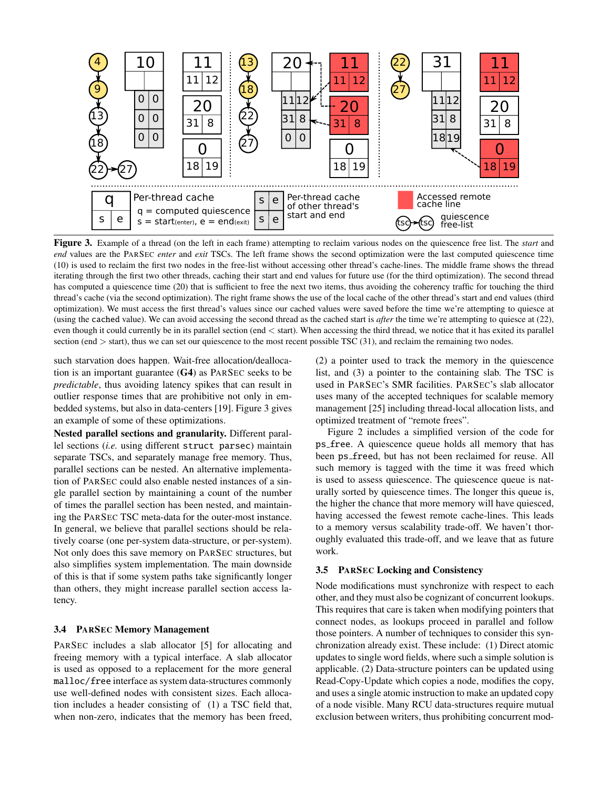

<span id="page-6-0"></span>Figure 3. Example of a thread (on the left in each frame) attempting to reclaim various nodes on the quiescence free list. The *start* and *end* values are the PARSEC *enter* and *exit* TSCs. The left frame shows the second optimization were the last computed quiescence time (10) is used to reclaim the first two nodes in the free-list without accessing other thread's cache-lines. The middle frame shows the thread iterating through the first two other threads, caching their start and end values for future use (for the third optimization). The second thread has computed a quiescence time (20) that is sufficient to free the next two items, thus avoiding the coherency traffic for touching the third thread's cache (via the second optimization). The right frame shows the use of the local cache of the other thread's start and end values (third optimization). We must access the first thread's values since our cached values were saved before the time we're attempting to quiesce at (using the cached value). We can avoid accessing the second thread as the cached start is *after* the time we're attempting to quiesce at (22), even though it could currently be in its parallel section (end < start). When accessing the third thread, we notice that it has exited its parallel section (end  $>$  start), thus we can set our quiescence to the most recent possible TSC (31), and reclaim the remaining two nodes.

such starvation does happen. Wait-free allocation/deallocation is an important guarantee (G4) as PARSEC seeks to be *predictable*, thus avoiding latency spikes that can result in outlier response times that are prohibitive not only in embedded systems, but also in data-centers [\[19\]](#page-14-2). Figure [3](#page-6-0) gives an example of some of these optimizations.

Nested parallel sections and granularity. Different parallel sections (*i.e.* using different struct parsec) maintain separate TSCs, and separately manage free memory. Thus, parallel sections can be nested. An alternative implementation of PARSEC could also enable nested instances of a single parallel section by maintaining a count of the number of times the parallel section has been nested, and maintaining the PARSEC TSC meta-data for the outer-most instance. In general, we believe that parallel sections should be relatively coarse (one per-system data-structure, or per-system). Not only does this save memory on PARSEC structures, but also simplifies system implementation. The main downside of this is that if some system paths take significantly longer than others, they might increase parallel section access latency.

## <span id="page-6-1"></span>3.4 PARSEC Memory Management

PARSEC includes a slab allocator [\[5\]](#page-14-10) for allocating and freeing memory with a typical interface. A slab allocator is used as opposed to a replacement for the more general malloc/free interface as system data-structures commonly use well-defined nodes with consistent sizes. Each allocation includes a header consisting of (1) a TSC field that, when non-zero, indicates that the memory has been freed,

(2) a pointer used to track the memory in the quiescence list, and (3) a pointer to the containing slab. The TSC is used in PARSEC's SMR facilities. PARSEC's slab allocator uses many of the accepted techniques for scalable memory management [\[25\]](#page-14-11) including thread-local allocation lists, and optimized treatment of "remote frees".

Figure [2](#page-5-0) includes a simplified version of the code for ps free. A quiescence queue holds all memory that has been ps freed, but has not been reclaimed for reuse. All such memory is tagged with the time it was freed which is used to assess quiescence. The quiescence queue is naturally sorted by quiescence times. The longer this queue is, the higher the chance that more memory will have quiesced, having accessed the fewest remote cache-lines. This leads to a memory versus scalability trade-off. We haven't thoroughly evaluated this trade-off, and we leave that as future work.

## 3.5 PARSEC Locking and Consistency

Node modifications must synchronize with respect to each other, and they must also be cognizant of concurrent lookups. This requires that care is taken when modifying pointers that connect nodes, as lookups proceed in parallel and follow those pointers. A number of techniques to consider this synchronization already exist. These include: (1) Direct atomic updates to single word fields, where such a simple solution is applicable. (2) Data-structure pointers can be updated using Read-Copy-Update which copies a node, modifies the copy, and uses a single atomic instruction to make an updated copy of a node visible. Many RCU data-structures require mutual exclusion between writers, thus prohibiting concurrent mod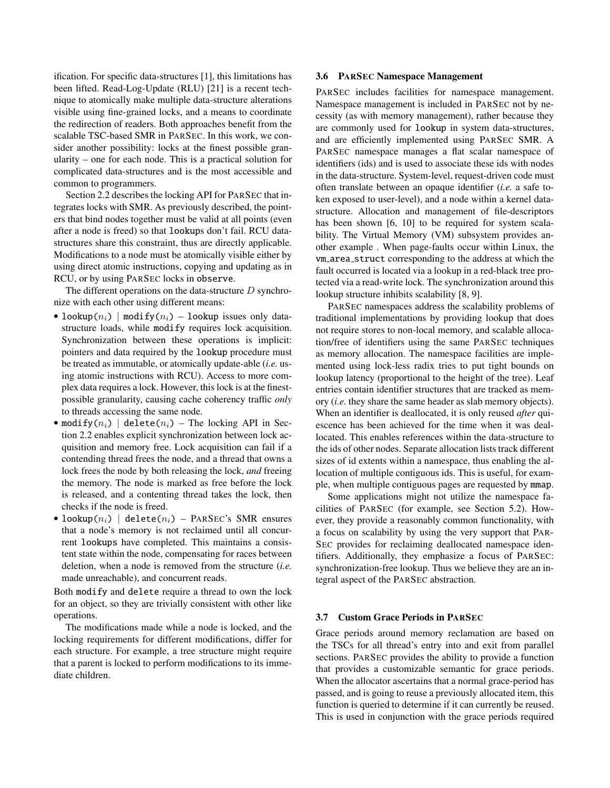ification. For specific data-structures [\[1\]](#page-14-12), this limitations has been lifted. Read-Log-Update (RLU) [\[21\]](#page-14-13) is a recent technique to atomically make multiple data-structure alterations visible using fine-grained locks, and a means to coordinate the redirection of readers. Both approaches benefit from the scalable TSC-based SMR in PARSEC. In this work, we consider another possibility: locks at the finest possible granularity – one for each node. This is a practical solution for complicated data-structures and is the most accessible and common to programmers.

Section [2.2](#page-2-0) describes the locking API for PARSEC that integrates locks with SMR. As previously described, the pointers that bind nodes together must be valid at all points (even after a node is freed) so that lookups don't fail. RCU datastructures share this constraint, thus are directly applicable. Modifications to a node must be atomically visible either by using direct atomic instructions, copying and updating as in RCU, or by using PARSEC locks in observe.

The different operations on the data-structure  $D$  synchronize with each other using different means:

- lookup $(n_i)$  | modify $(n_i)$  lookup issues only datastructure loads, while modify requires lock acquisition. Synchronization between these operations is implicit: pointers and data required by the lookup procedure must be treated as immutable, or atomically update-able (*i.e.* using atomic instructions with RCU). Access to more complex data requires a lock. However, this lock is at the finestpossible granularity, causing cache coherency traffic *only* to threads accessing the same node.
- modify( $n_i$ ) | delete( $n_i$ ) The locking API in Section [2.2](#page-2-0) enables explicit synchronization between lock acquisition and memory free. Lock acquisition can fail if a contending thread frees the node, and a thread that owns a lock frees the node by both releasing the lock, *and* freeing the memory. The node is marked as free before the lock is released, and a contenting thread takes the lock, then checks if the node is freed.
- lookup $(n_i)$  | delete $(n_i)$  PARSEC's SMR ensures that a node's memory is not reclaimed until all concurrent lookups have completed. This maintains a consistent state within the node, compensating for races between deletion, when a node is removed from the structure (*i.e.* made unreachable), and concurrent reads.

Both modify and delete require a thread to own the lock for an object, so they are trivially consistent with other like operations.

The modifications made while a node is locked, and the locking requirements for different modifications, differ for each structure. For example, a tree structure might require that a parent is locked to perform modifications to its immediate children.

## <span id="page-7-0"></span>3.6 PARSEC Namespace Management

PARSEC includes facilities for namespace management. Namespace management is included in PARSEC not by necessity (as with memory management), rather because they are commonly used for lookup in system data-structures, and are efficiently implemented using PARSEC SMR. A PARSEC namespace manages a flat scalar namespace of identifiers (ids) and is used to associate these ids with nodes in the data-structure. System-level, request-driven code must often translate between an opaque identifier (*i.e.* a safe token exposed to user-level), and a node within a kernel datastructure. Allocation and management of file-descriptors has been shown [\[6,](#page-14-1) [10\]](#page-14-14) to be required for system scalability. The Virtual Memory (VM) subsystem provides another example . When page-faults occur within Linux, the vm area struct corresponding to the address at which the fault occurred is located via a lookup in a red-black tree protected via a read-write lock. The synchronization around this lookup structure inhibits scalability [\[8,](#page-14-15) [9\]](#page-14-16).

PARSEC namespaces address the scalability problems of traditional implementations by providing lookup that does not require stores to non-local memory, and scalable allocation/free of identifiers using the same PARSEC techniques as memory allocation. The namespace facilities are implemented using lock-less radix tries to put tight bounds on lookup latency (proportional to the height of the tree). Leaf entries contain identifier structures that are tracked as memory (*i.e.* they share the same header as slab memory objects). When an identifier is deallocated, it is only reused *after* quiescence has been achieved for the time when it was deallocated. This enables references within the data-structure to the ids of other nodes. Separate allocation lists track different sizes of id extents within a namespace, thus enabling the allocation of multiple contiguous ids. This is useful, for example, when multiple contiguous pages are requested by mmap.

Some applications might not utilize the namespace facilities of PARSEC (for example, see Section [5.2\)](#page-10-0). However, they provide a reasonably common functionality, with a focus on scalability by using the very support that PAR-SEC provides for reclaiming deallocated namespace identifiers. Additionally, they emphasize a focus of PARSEC: synchronization-free lookup. Thus we believe they are an integral aspect of the PARSEC abstraction.

#### 3.7 Custom Grace Periods in PARSEC

Grace periods around memory reclamation are based on the TSCs for all thread's entry into and exit from parallel sections. PARSEC provides the ability to provide a function that provides a customizable semantic for grace periods. When the allocator ascertains that a normal grace-period has passed, and is going to reuse a previously allocated item, this function is queried to determine if it can currently be reused. This is used in conjunction with the grace periods required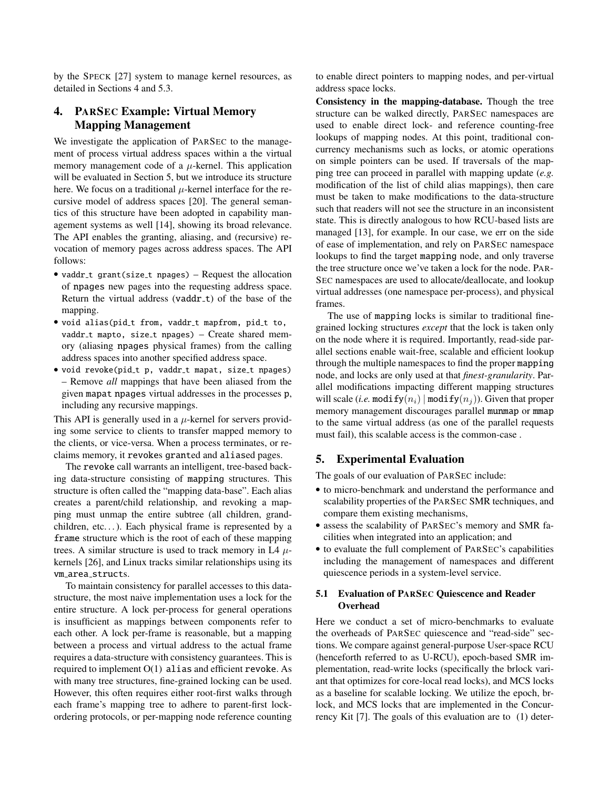by the SPECK [\[27\]](#page-14-0) system to manage kernel resources, as detailed in Sections [4](#page-8-1) and [5.3.](#page-11-0)

# <span id="page-8-1"></span>4. PARSEC Example: Virtual Memory Mapping Management

We investigate the application of PARSEC to the management of process virtual address spaces within a the virtual memory management code of a  $\mu$ -kernel. This application will be evaluated in Section [5,](#page-8-0) but we introduce its structure here. We focus on a traditional  $\mu$ -kernel interface for the recursive model of address spaces [\[20\]](#page-14-8). The general semantics of this structure have been adopted in capability management systems as well [\[14\]](#page-14-17), showing its broad relevance. The API enables the granting, aliasing, and (recursive) revocation of memory pages across address spaces. The API follows:

- vaddr\_t grant(size\_t npages) Request the allocation of npages new pages into the requesting address space. Return the virtual address (vaddr\_t) of the base of the mapping.
- void alias(pid\_t from, vaddr\_t mapfrom, pid\_t to,  $vaddr_t$  mapto, size\_t npages) – Create shared memory (aliasing npages physical frames) from the calling address spaces into another specified address space.
- void revoke(pid\_t p, vaddr\_t mapat, size\_t npages) – Remove *all* mappings that have been aliased from the given mapat npages virtual addresses in the processes p, including any recursive mappings.

This API is generally used in a  $\mu$ -kernel for servers providing some service to clients to transfer mapped memory to the clients, or vice-versa. When a process terminates, or reclaims memory, it revokes granted and aliased pages.

The revoke call warrants an intelligent, tree-based backing data-structure consisting of mapping structures. This structure is often called the "mapping data-base". Each alias creates a parent/child relationship, and revoking a mapping must unmap the entire subtree (all children, grandchildren, etc...). Each physical frame is represented by a frame structure which is the root of each of these mapping trees. A similar structure is used to track memory in L4  $\mu$ kernels [\[26\]](#page-14-18), and Linux tracks similar relationships using its vm area structs.

To maintain consistency for parallel accesses to this datastructure, the most naive implementation uses a lock for the entire structure. A lock per-process for general operations is insufficient as mappings between components refer to each other. A lock per-frame is reasonable, but a mapping between a process and virtual address to the actual frame requires a data-structure with consistency guarantees. This is required to implement  $O(1)$  alias and efficient revoke. As with many tree structures, fine-grained locking can be used. However, this often requires either root-first walks through each frame's mapping tree to adhere to parent-first lockordering protocols, or per-mapping node reference counting to enable direct pointers to mapping nodes, and per-virtual address space locks.

Consistency in the mapping-database. Though the tree structure can be walked directly, PARSEC namespaces are used to enable direct lock- and reference counting-free lookups of mapping nodes. At this point, traditional concurrency mechanisms such as locks, or atomic operations on simple pointers can be used. If traversals of the mapping tree can proceed in parallel with mapping update (*e.g.* modification of the list of child alias mappings), then care must be taken to make modifications to the data-structure such that readers will not see the structure in an inconsistent state. This is directly analogous to how RCU-based lists are managed [\[13\]](#page-14-5), for example. In our case, we err on the side of ease of implementation, and rely on PARSEC namespace lookups to find the target mapping node, and only traverse the tree structure once we've taken a lock for the node. PAR-SEC namespaces are used to allocate/deallocate, and lookup virtual addresses (one namespace per-process), and physical frames.

The use of mapping locks is similar to traditional finegrained locking structures *except* that the lock is taken only on the node where it is required. Importantly, read-side parallel sections enable wait-free, scalable and efficient lookup through the multiple namespaces to find the proper mapping node, and locks are only used at that *finest-granularity*. Parallel modifications impacting different mapping structures will scale (*i.e.* modify( $n_i$ ) | modify( $n_j$ )). Given that proper memory management discourages parallel munmap or mmap to the same virtual address (as one of the parallel requests must fail), this scalable access is the common-case .

# <span id="page-8-0"></span>5. Experimental Evaluation

The goals of our evaluation of PARSEC include:

- to micro-benchmark and understand the performance and scalability properties of the PARSEC SMR techniques, and compare them existing mechanisms,
- assess the scalability of PARSEC's memory and SMR facilities when integrated into an application; and
- to evaluate the full complement of PARSEC's capabilities including the management of namespaces and different quiescence periods in a system-level service.

## <span id="page-8-2"></span>5.1 Evaluation of PARSEC Quiescence and Reader **Overhead**

Here we conduct a set of micro-benchmarks to evaluate the overheads of PARSEC quiescence and "read-side" sections. We compare against general-purpose User-space RCU (henceforth referred to as U-RCU), epoch-based SMR implementation, read-write locks (specifically the brlock variant that optimizes for core-local read locks), and MCS locks as a baseline for scalable locking. We utilize the epoch, brlock, and MCS locks that are implemented in the Concurrency Kit [\[7\]](#page-14-19). The goals of this evaluation are to (1) deter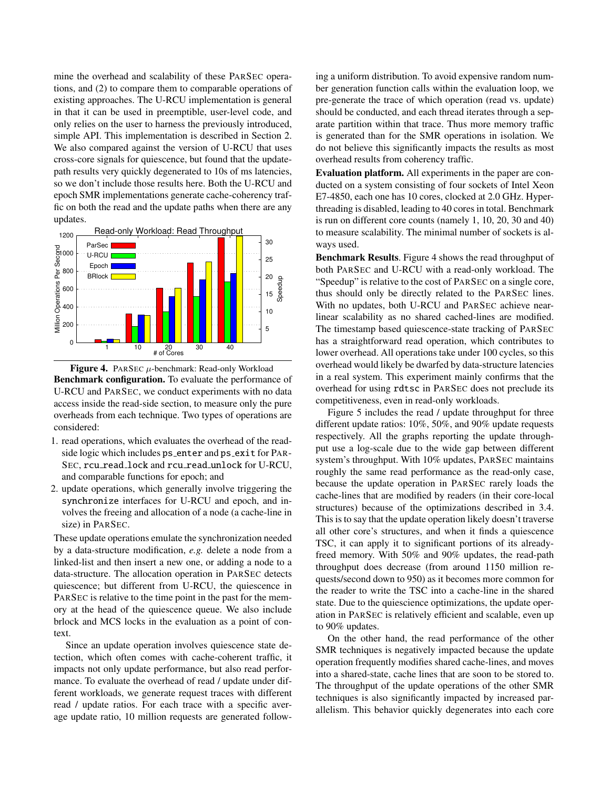mine the overhead and scalability of these PARSEC operations, and (2) to compare them to comparable operations of existing approaches. The U-RCU implementation is general in that it can be used in preemptible, user-level code, and only relies on the user to harness the previously introduced, simple API. This implementation is described in Section [2.](#page-1-0) We also compared against the version of U-RCU that uses cross-core signals for quiescence, but found that the updatepath results very quickly degenerated to 10s of ms latencies, so we don't include those results here. Both the U-RCU and epoch SMR implementations generate cache-coherency traffic on both the read and the update paths when there are any updates.



<span id="page-9-0"></span>Figure 4. PARSEC  $\mu$ -benchmark: Read-only Workload Benchmark configuration. To evaluate the performance of U-RCU and PARSEC, we conduct experiments with no data access inside the read-side section, to measure only the pure overheads from each technique. Two types of operations are considered:

- 1. read operations, which evaluates the overhead of the readside logic which includes ps\_enter and ps\_exit for PAR-SEC, rcu\_read\_lock and rcu\_read\_unlock for U-RCU, and comparable functions for epoch; and
- 2. update operations, which generally involve triggering the synchronize interfaces for U-RCU and epoch, and involves the freeing and allocation of a node (a cache-line in size) in PARSEC.

These update operations emulate the synchronization needed by a data-structure modification, *e.g.* delete a node from a linked-list and then insert a new one, or adding a node to a data-structure. The allocation operation in PARSEC detects quiescence; but different from U-RCU, the quiescence in PARSEC is relative to the time point in the past for the memory at the head of the quiescence queue. We also include brlock and MCS locks in the evaluation as a point of context.

Since an update operation involves quiescence state detection, which often comes with cache-coherent traffic, it impacts not only update performance, but also read performance. To evaluate the overhead of read / update under different workloads, we generate request traces with different read / update ratios. For each trace with a specific average update ratio, 10 million requests are generated following a uniform distribution. To avoid expensive random number generation function calls within the evaluation loop, we pre-generate the trace of which operation (read vs. update) should be conducted, and each thread iterates through a separate partition within that trace. Thus more memory traffic is generated than for the SMR operations in isolation. We do not believe this significantly impacts the results as most overhead results from coherency traffic.

Evaluation platform. All experiments in the paper are conducted on a system consisting of four sockets of Intel Xeon E7-4850, each one has 10 cores, clocked at 2.0 GHz. Hyperthreading is disabled, leading to 40 cores in total. Benchmark is run on different core counts (namely 1, 10, 20, 30 and 40) to measure scalability. The minimal number of sockets is always used.

Benchmark Results. Figure [4](#page-9-0) shows the read throughput of both PARSEC and U-RCU with a read-only workload. The "Speedup" is relative to the cost of PARSEC on a single core, thus should only be directly related to the PARSEC lines. With no updates, both U-RCU and PARSEC achieve nearlinear scalability as no shared cached-lines are modified. The timestamp based quiescence-state tracking of PARSEC has a straightforward read operation, which contributes to lower overhead. All operations take under 100 cycles, so this overhead would likely be dwarfed by data-structure latencies in a real system. This experiment mainly confirms that the overhead for using rdtsc in PARSEC does not preclude its competitiveness, even in read-only workloads.

Figure [5](#page-10-1) includes the read / update throughput for three different update ratios: 10%, 50%, and 90% update requests respectively. All the graphs reporting the update throughput use a log-scale due to the wide gap between different system's throughput. With 10% updates, PARSEC maintains roughly the same read performance as the read-only case, because the update operation in PARSEC rarely loads the cache-lines that are modified by readers (in their core-local structures) because of the optimizations described in [3.4.](#page-6-1) This is to say that the update operation likely doesn't traverse all other core's structures, and when it finds a quiescence TSC, it can apply it to significant portions of its alreadyfreed memory. With 50% and 90% updates, the read-path throughput does decrease (from around 1150 million requests/second down to 950) as it becomes more common for the reader to write the TSC into a cache-line in the shared state. Due to the quiescience optimizations, the update operation in PARSEC is relatively efficient and scalable, even up to 90% updates.

On the other hand, the read performance of the other SMR techniques is negatively impacted because the update operation frequently modifies shared cache-lines, and moves into a shared-state, cache lines that are soon to be stored to. The throughput of the update operations of the other SMR techniques is also significantly impacted by increased parallelism. This behavior quickly degenerates into each core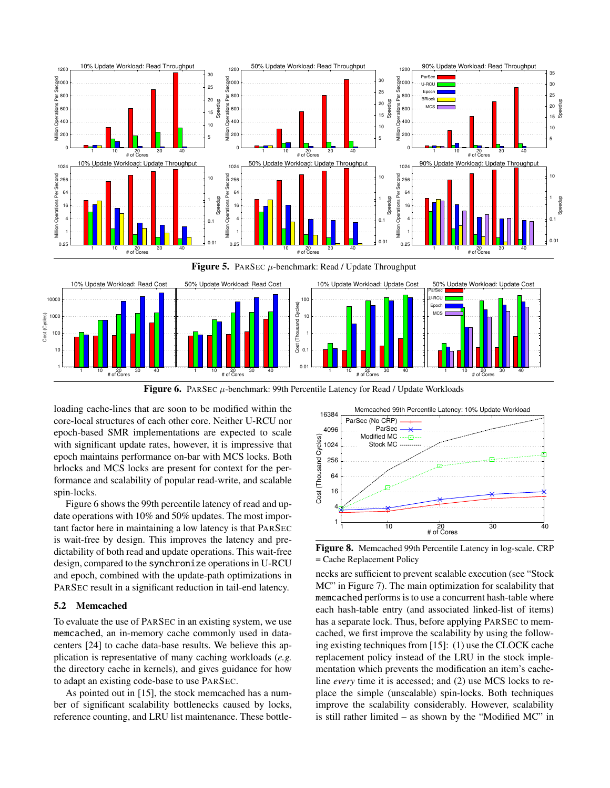

<span id="page-10-2"></span><span id="page-10-1"></span>

loading cache-lines that are soon to be modified within the core-local structures of each other core. Neither U-RCU nor epoch-based SMR implementations are expected to scale with significant update rates, however, it is impressive that epoch maintains performance on-bar with MCS locks. Both brlocks and MCS locks are present for context for the performance and scalability of popular read-write, and scalable spin-locks.

Figure [6](#page-10-2) shows the 99th percentile latency of read and update operations with 10% and 50% updates. The most important factor here in maintaining a low latency is that PARSEC is wait-free by design. This improves the latency and predictability of both read and update operations. This wait-free design, compared to the synchronize operations in U-RCU and epoch, combined with the update-path optimizations in PARSEC result in a significant reduction in tail-end latency.

## <span id="page-10-0"></span>5.2 Memcached

To evaluate the use of PARSEC in an existing system, we use memcached, an in-memory cache commonly used in datacenters [\[24\]](#page-14-20) to cache data-base results. We believe this application is representative of many caching workloads (*e.g.* the directory cache in kernels), and gives guidance for how to adapt an existing code-base to use PARSEC.

As pointed out in [\[15\]](#page-14-21), the stock memcached has a number of significant scalability bottlenecks caused by locks, reference counting, and LRU list maintenance. These bottle-



<span id="page-10-3"></span>Figure 8. Memcached 99th Percentile Latency in log-scale. CRP = Cache Replacement Policy

necks are sufficient to prevent scalable execution (see "Stock MC" in Figure [7\)](#page-11-1). The main optimization for scalability that memcached performs is to use a concurrent hash-table where each hash-table entry (and associated linked-list of items) has a separate lock. Thus, before applying PARSEC to memcached, we first improve the scalability by using the following existing techniques from [\[15\]](#page-14-21): (1) use the CLOCK cache replacement policy instead of the LRU in the stock implementation which prevents the modification an item's cacheline *every* time it is accessed; and (2) use MCS locks to replace the simple (unscalable) spin-locks. Both techniques improve the scalability considerably. However, scalability is still rather limited – as shown by the "Modified MC" in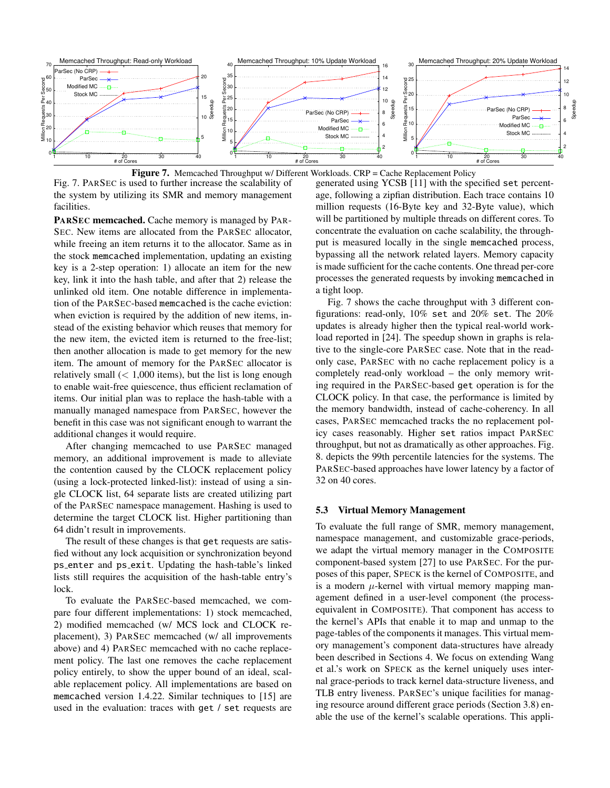

<span id="page-11-1"></span>**Figure 7.** Memcached Throughput w/ Different Workloads. CRP = Cache Replacement Policy

Fig. [7.](#page-11-1) PARSEC is used to further increase the scalability of the system by utilizing its SMR and memory management facilities.

PARSEC memcached. Cache memory is managed by PAR-SEC. New items are allocated from the PARSEC allocator, while freeing an item returns it to the allocator. Same as in the stock memcached implementation, updating an existing key is a 2-step operation: 1) allocate an item for the new key, link it into the hash table, and after that 2) release the unlinked old item. One notable difference in implementation of the PARSEC-based memcached is the cache eviction: when eviction is required by the addition of new items, instead of the existing behavior which reuses that memory for the new item, the evicted item is returned to the free-list; then another allocation is made to get memory for the new item. The amount of memory for the PARSEC allocator is relatively small  $(< 1,000$  items), but the list is long enough to enable wait-free quiescence, thus efficient reclamation of items. Our initial plan was to replace the hash-table with a manually managed namespace from PARSEC, however the benefit in this case was not significant enough to warrant the additional changes it would require.

After changing memcached to use PARSEC managed memory, an additional improvement is made to alleviate the contention caused by the CLOCK replacement policy (using a lock-protected linked-list): instead of using a single CLOCK list, 64 separate lists are created utilizing part of the PARSEC namespace management. Hashing is used to determine the target CLOCK list. Higher partitioning than 64 didn't result in improvements.

The result of these changes is that get requests are satisfied without any lock acquisition or synchronization beyond ps enter and ps exit. Updating the hash-table's linked lists still requires the acquisition of the hash-table entry's lock.

To evaluate the PARSEC-based memcached, we compare four different implementations: 1) stock memcached, 2) modified memcached (w/ MCS lock and CLOCK replacement), 3) PARSEC memcached (w/ all improvements above) and 4) PARSEC memcached with no cache replacement policy. The last one removes the cache replacement policy entirely, to show the upper bound of an ideal, scalable replacement policy. All implementations are based on memcached version 1.4.22. Similar techniques to [\[15\]](#page-14-21) are used in the evaluation: traces with get / set requests are

generated using YCSB [\[11\]](#page-14-22) with the specified set percentage, following a zipfian distribution. Each trace contains 10 million requests (16-Byte key and 32-Byte value), which will be partitioned by multiple threads on different cores. To concentrate the evaluation on cache scalability, the throughput is measured locally in the single memcached process, bypassing all the network related layers. Memory capacity is made sufficient for the cache contents. One thread per-core processes the generated requests by invoking memcached in a tight loop.

Fig. [7](#page-11-1) shows the cache throughput with 3 different configurations: read-only, 10% set and 20% set. The 20% updates is already higher then the typical real-world workload reported in [\[24\]](#page-14-20). The speedup shown in graphs is relative to the single-core PARSEC case. Note that in the readonly case, PARSEC with no cache replacement policy is a completely read-only workload – the only memory writing required in the PARSEC-based get operation is for the CLOCK policy. In that case, the performance is limited by the memory bandwidth, instead of cache-coherency. In all cases, PARSEC memcached tracks the no replacement policy cases reasonably. Higher set ratios impact PARSEC throughput, but not as dramatically as other approaches. Fig. [8.](#page-10-3) depicts the 99th percentile latencies for the systems. The PARSEC-based approaches have lower latency by a factor of 32 on 40 cores.

## <span id="page-11-0"></span>5.3 Virtual Memory Management

To evaluate the full range of SMR, memory management, namespace management, and customizable grace-periods, we adapt the virtual memory manager in the COMPOSITE component-based system [\[27\]](#page-14-0) to use PARSEC. For the purposes of this paper, SPECK is the kernel of COMPOSITE, and is a modern  $\mu$ -kernel with virtual memory mapping management defined in a user-level component (the processequivalent in COMPOSITE). That component has access to the kernel's APIs that enable it to map and unmap to the page-tables of the components it manages. This virtual memory management's component data-structures have already been described in Sections [4.](#page-8-1) We focus on extending Wang et al.'s work on SPECK as the kernel uniquely uses internal grace-periods to track kernel data-structure liveness, and TLB entry liveness. PARSEC's unique facilities for managing resource around different grace periods (Section [3.8\)](#page-0-0) enable the use of the kernel's scalable operations. This appli-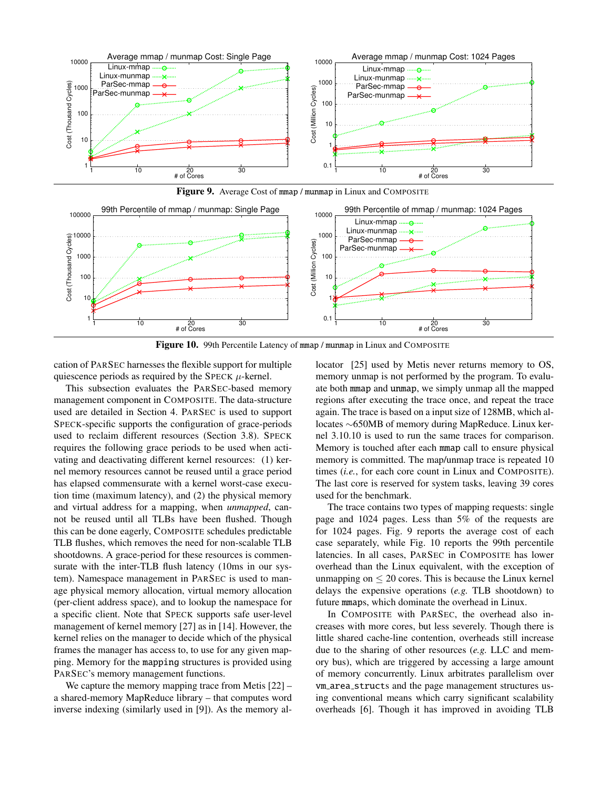

<span id="page-12-0"></span>



<span id="page-12-1"></span>Figure 10. 99th Percentile Latency of mmap / munmap in Linux and COMPOSITE

cation of PARSEC harnesses the flexible support for multiple quiescence periods as required by the SPECK  $\mu$ -kernel.

This subsection evaluates the PARSEC-based memory management component in COMPOSITE. The data-structure used are detailed in Section [4.](#page-8-1) PARSEC is used to support SPECK-specific supports the configuration of grace-periods used to reclaim different resources (Section [3.8\)](#page-0-0). SPECK requires the following grace periods to be used when activating and deactivating different kernel resources: (1) kernel memory resources cannot be reused until a grace period has elapsed commensurate with a kernel worst-case execution time (maximum latency), and (2) the physical memory and virtual address for a mapping, when *unmapped*, cannot be reused until all TLBs have been flushed. Though this can be done eagerly, COMPOSITE schedules predictable TLB flushes, which removes the need for non-scalable TLB shootdowns. A grace-period for these resources is commensurate with the inter-TLB flush latency (10ms in our system). Namespace management in PARSEC is used to manage physical memory allocation, virtual memory allocation (per-client address space), and to lookup the namespace for a specific client. Note that SPECK supports safe user-level management of kernel memory [\[27\]](#page-14-0) as in [\[14\]](#page-14-17). However, the kernel relies on the manager to decide which of the physical frames the manager has access to, to use for any given mapping. Memory for the mapping structures is provided using PARSEC's memory management functions.

We capture the memory mapping trace from Metis  $[22]$  – a shared-memory MapReduce library – that computes word inverse indexing (similarly used in [\[9\]](#page-14-16)). As the memory al-

locator [\[25\]](#page-14-11) used by Metis never returns memory to OS, memory unmap is not performed by the program. To evaluate both mmap and unmap, we simply unmap all the mapped regions after executing the trace once, and repeat the trace again. The trace is based on a input size of 128MB, which allocates ∼650MB of memory during MapReduce. Linux kernel 3.10.10 is used to run the same traces for comparison. Memory is touched after each mmap call to ensure physical memory is committed. The map/unmap trace is repeated 10 times (*i.e.*, for each core count in Linux and COMPOSITE). The last core is reserved for system tasks, leaving 39 cores used for the benchmark.

The trace contains two types of mapping requests: single page and 1024 pages. Less than 5% of the requests are for 1024 pages. Fig. [9](#page-12-0) reports the average cost of each case separately, while Fig. [10](#page-12-1) reports the 99th percentile latencies. In all cases, PARSEC in COMPOSITE has lower overhead than the Linux equivalent, with the exception of unmapping on  $\leq 20$  cores. This is because the Linux kernel delays the expensive operations (*e.g.* TLB shootdown) to future mmaps, which dominate the overhead in Linux.

In COMPOSITE with PARSEC, the overhead also increases with more cores, but less severely. Though there is little shared cache-line contention, overheads still increase due to the sharing of other resources (*e.g.* LLC and memory bus), which are triggered by accessing a large amount of memory concurrently. Linux arbitrates parallelism over vm area structs and the page management structures using conventional means which carry significant scalability overheads [\[6\]](#page-14-1). Though it has improved in avoiding TLB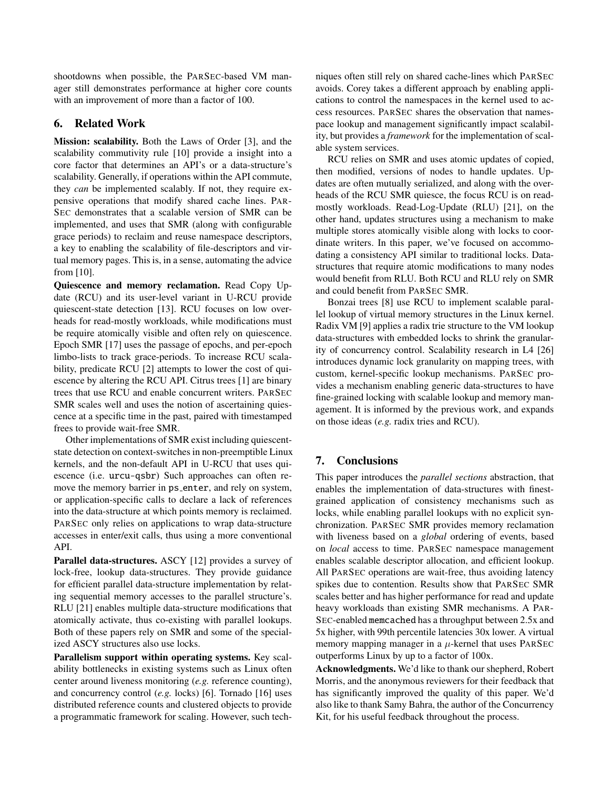shootdowns when possible, the PARSEC-based VM manager still demonstrates performance at higher core counts with an improvement of more than a factor of 100.

# <span id="page-13-0"></span>6. Related Work

Mission: scalability. Both the Laws of Order [\[3\]](#page-14-24), and the scalability commutivity rule [\[10\]](#page-14-14) provide a insight into a core factor that determines an API's or a data-structure's scalability. Generally, if operations within the API commute, they *can* be implemented scalably. If not, they require expensive operations that modify shared cache lines. PAR-SEC demonstrates that a scalable version of SMR can be implemented, and uses that SMR (along with configurable grace periods) to reclaim and reuse namespace descriptors, a key to enabling the scalability of file-descriptors and virtual memory pages. This is, in a sense, automating the advice from [\[10\]](#page-14-14).

Quiescence and memory reclamation. Read Copy Update (RCU) and its user-level variant in U-RCU provide quiescent-state detection [\[13\]](#page-14-5). RCU focuses on low overheads for read-mostly workloads, while modifications must be require atomically visible and often rely on quiescence. Epoch SMR [\[17\]](#page-14-4) uses the passage of epochs, and per-epoch limbo-lists to track grace-periods. To increase RCU scalability, predicate RCU [\[2\]](#page-14-25) attempts to lower the cost of quiescence by altering the RCU API. Citrus trees [\[1\]](#page-14-12) are binary trees that use RCU and enable concurrent writers. PARSEC SMR scales well and uses the notion of ascertaining quiescence at a specific time in the past, paired with timestamped frees to provide wait-free SMR.

Other implementations of SMR exist including quiescentstate detection on context-switches in non-preemptible Linux kernels, and the non-default API in U-RCU that uses quiescence (i.e. urcu-qsbr) Such approaches can often remove the memory barrier in ps enter, and rely on system, or application-specific calls to declare a lack of references into the data-structure at which points memory is reclaimed. PARSEC only relies on applications to wrap data-structure accesses in enter/exit calls, thus using a more conventional API.

Parallel data-structures. ASCY [\[12\]](#page-14-7) provides a survey of lock-free, lookup data-structures. They provide guidance for efficient parallel data-structure implementation by relating sequential memory accesses to the parallel structure's. RLU [\[21\]](#page-14-13) enables multiple data-structure modifications that atomically activate, thus co-existing with parallel lookups. Both of these papers rely on SMR and some of the specialized ASCY structures also use locks.

Parallelism support within operating systems. Key scalability bottlenecks in existing systems such as Linux often center around liveness monitoring (*e.g.* reference counting), and concurrency control (*e.g.* locks) [\[6\]](#page-14-1). Tornado [\[16\]](#page-14-26) uses distributed reference counts and clustered objects to provide a programmatic framework for scaling. However, such techniques often still rely on shared cache-lines which PARSEC avoids. Corey takes a different approach by enabling applications to control the namespaces in the kernel used to access resources. PARSEC shares the observation that namespace lookup and management significantly impact scalability, but provides a *framework* for the implementation of scalable system services.

RCU relies on SMR and uses atomic updates of copied, then modified, versions of nodes to handle updates. Updates are often mutually serialized, and along with the overheads of the RCU SMR quiesce, the focus RCU is on readmostly workloads. Read-Log-Update (RLU) [\[21\]](#page-14-13), on the other hand, updates structures using a mechanism to make multiple stores atomically visible along with locks to coordinate writers. In this paper, we've focused on accommodating a consistency API similar to traditional locks. Datastructures that require atomic modifications to many nodes would benefit from RLU. Both RCU and RLU rely on SMR and could benefit from PARSEC SMR.

Bonzai trees [\[8\]](#page-14-15) use RCU to implement scalable parallel lookup of virtual memory structures in the Linux kernel. Radix VM [\[9\]](#page-14-16) applies a radix trie structure to the VM lookup data-structures with embedded locks to shrink the granularity of concurrency control. Scalability research in L4 [\[26\]](#page-14-18) introduces dynamic lock granularity on mapping trees, with custom, kernel-specific lookup mechanisms. PARSEC provides a mechanism enabling generic data-structures to have fine-grained locking with scalable lookup and memory management. It is informed by the previous work, and expands on those ideas (*e.g.* radix tries and RCU).

# <span id="page-13-1"></span>7. Conclusions

This paper introduces the *parallel sections* abstraction, that enables the implementation of data-structures with finestgrained application of consistency mechanisms such as locks, while enabling parallel lookups with no explicit synchronization. PARSEC SMR provides memory reclamation with liveness based on a *global* ordering of events, based on *local* access to time. PARSEC namespace management enables scalable descriptor allocation, and efficient lookup. All PARSEC operations are wait-free, thus avoiding latency spikes due to contention. Results show that PARSEC SMR scales better and has higher performance for read and update heavy workloads than existing SMR mechanisms. A PAR-SEC-enabled memcached has a throughput between 2.5x and 5x higher, with 99th percentile latencies 30x lower. A virtual memory mapping manager in a  $\mu$ -kernel that uses PARSEC outperforms Linux by up to a factor of 100x.

Acknowledgments. We'd like to thank our shepherd, Robert Morris, and the anonymous reviewers for their feedback that has significantly improved the quality of this paper. We'd also like to thank Samy Bahra, the author of the Concurrency Kit, for his useful feedback throughout the process.